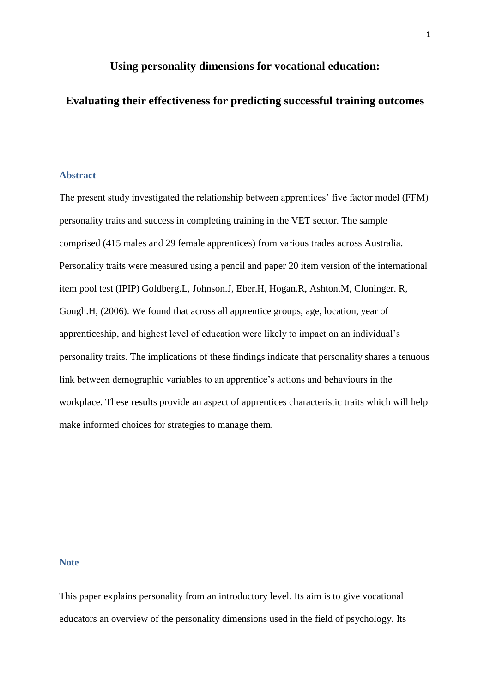# **Using personality dimensions for vocational education:**

# **Evaluating their effectiveness for predicting successful training outcomes**

#### **Abstract**

The present study investigated the relationship between apprentices' five factor model (FFM) personality traits and success in completing training in the VET sector. The sample comprised (415 males and 29 female apprentices) from various trades across Australia. Personality traits were measured using a pencil and paper 20 item version of the international item pool test (IPIP) Goldberg.L, Johnson.J, Eber.H, Hogan.R, Ashton.M, Cloninger. R, Gough.H, (2006). We found that across all apprentice groups, age, location, year of apprenticeship, and highest level of education were likely to impact on an individual's personality traits. The implications of these findings indicate that personality shares a tenuous link between demographic variables to an apprentice's actions and behaviours in the workplace. These results provide an aspect of apprentices characteristic traits which will help make informed choices for strategies to manage them.

# **Note**

This paper explains personality from an introductory level. Its aim is to give vocational educators an overview of the personality dimensions used in the field of psychology. Its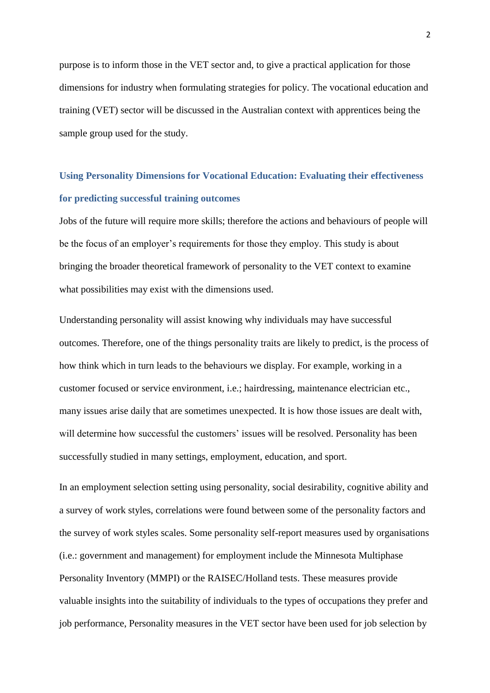purpose is to inform those in the VET sector and, to give a practical application for those dimensions for industry when formulating strategies for policy. The vocational education and training (VET) sector will be discussed in the Australian context with apprentices being the sample group used for the study.

# **Using Personality Dimensions for Vocational Education: Evaluating their effectiveness for predicting successful training outcomes**

Jobs of the future will require more skills; therefore the actions and behaviours of people will be the focus of an employer's requirements for those they employ. This study is about bringing the broader theoretical framework of personality to the VET context to examine what possibilities may exist with the dimensions used.

Understanding personality will assist knowing why individuals may have successful outcomes. Therefore, one of the things personality traits are likely to predict, is the process of how think which in turn leads to the behaviours we display. For example, working in a customer focused or service environment, i.e.; hairdressing, maintenance electrician etc., many issues arise daily that are sometimes unexpected. It is how those issues are dealt with, will determine how successful the customers' issues will be resolved. Personality has been successfully studied in many settings, employment, education, and sport.

In an employment selection setting using personality, social desirability, cognitive ability and a survey of work styles, correlations were found between some of the personality factors and the survey of work styles scales. Some personality self-report measures used by organisations (i.e.: government and management) for employment include the Minnesota Multiphase Personality Inventory (MMPI) or the RAISEC/Holland tests. These measures provide valuable insights into the suitability of individuals to the types of occupations they prefer and job performance, Personality measures in the VET sector have been used for job selection by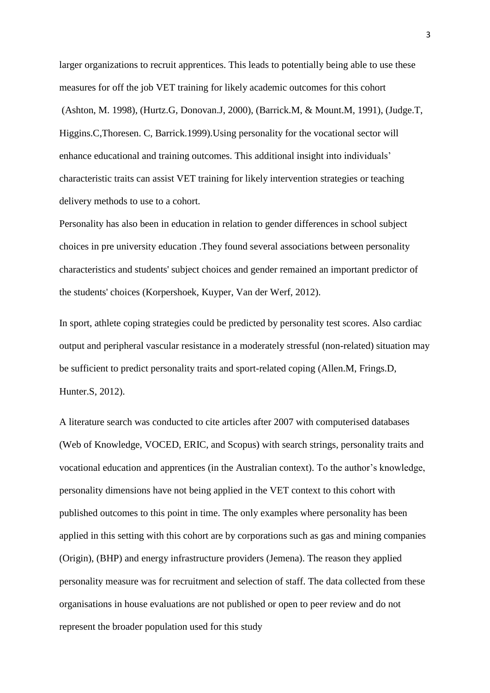larger organizations to recruit apprentices. This leads to potentially being able to use these measures for off the job VET training for likely academic outcomes for this cohort (Ashton, M. 1998), (Hurtz.G, Donovan.J, 2000), (Barrick.M, & Mount.M, 1991), (Judge.T, Higgins.C,Thoresen. C, Barrick.1999).Using personality for the vocational sector will enhance educational and training outcomes. This additional insight into individuals' characteristic traits can assist VET training for likely intervention strategies or teaching delivery methods to use to a cohort.

Personality has also been in education in relation to gender differences in school subject choices in pre university education .They found several associations between personality characteristics and students' subject choices and gender remained an important predictor of the students' choices (Korpershoek, Kuyper, Van der Werf, 2012).

In sport, athlete coping strategies could be predicted by personality test scores. Also cardiac output and peripheral vascular resistance in a moderately stressful (non-related) situation may be sufficient to predict personality traits and sport-related coping (Allen.M, Frings.D, Hunter.S, 2012).

A literature search was conducted to cite articles after 2007 with computerised databases (Web of Knowledge, VOCED, ERIC, and Scopus) with search strings, personality traits and vocational education and apprentices (in the Australian context). To the author's knowledge, personality dimensions have not being applied in the VET context to this cohort with published outcomes to this point in time. The only examples where personality has been applied in this setting with this cohort are by corporations such as gas and mining companies (Origin), (BHP) and energy infrastructure providers (Jemena). The reason they applied personality measure was for recruitment and selection of staff. The data collected from these organisations in house evaluations are not published or open to peer review and do not represent the broader population used for this study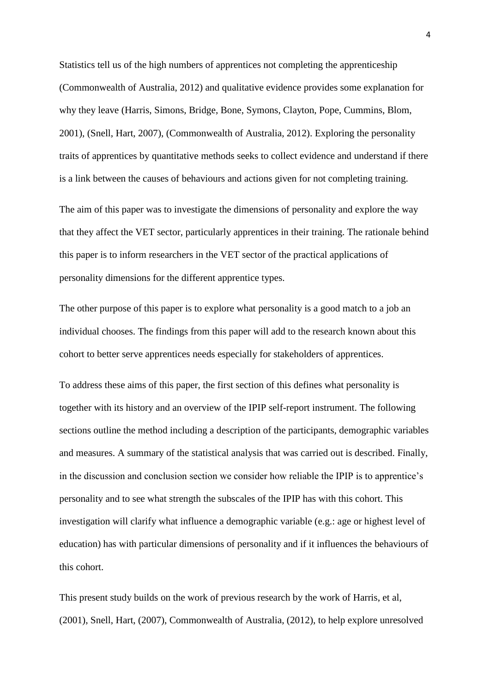Statistics tell us of the high numbers of apprentices not completing the apprenticeship (Commonwealth of Australia, 2012) and qualitative evidence provides some explanation for why they leave (Harris, Simons, Bridge, Bone, Symons, Clayton, Pope, Cummins, Blom, 2001), (Snell, Hart, 2007), (Commonwealth of Australia, 2012). Exploring the personality traits of apprentices by quantitative methods seeks to collect evidence and understand if there is a link between the causes of behaviours and actions given for not completing training.

The aim of this paper was to investigate the dimensions of personality and explore the way that they affect the VET sector, particularly apprentices in their training. The rationale behind this paper is to inform researchers in the VET sector of the practical applications of personality dimensions for the different apprentice types.

The other purpose of this paper is to explore what personality is a good match to a job an individual chooses. The findings from this paper will add to the research known about this cohort to better serve apprentices needs especially for stakeholders of apprentices.

To address these aims of this paper, the first section of this defines what personality is together with its history and an overview of the IPIP self-report instrument. The following sections outline the method including a description of the participants, demographic variables and measures. A summary of the statistical analysis that was carried out is described. Finally, in the discussion and conclusion section we consider how reliable the IPIP is to apprentice's personality and to see what strength the subscales of the IPIP has with this cohort. This investigation will clarify what influence a demographic variable (e.g.: age or highest level of education) has with particular dimensions of personality and if it influences the behaviours of this cohort.

This present study builds on the work of previous research by the work of Harris, et al, (2001), Snell, Hart, (2007), Commonwealth of Australia, (2012), to help explore unresolved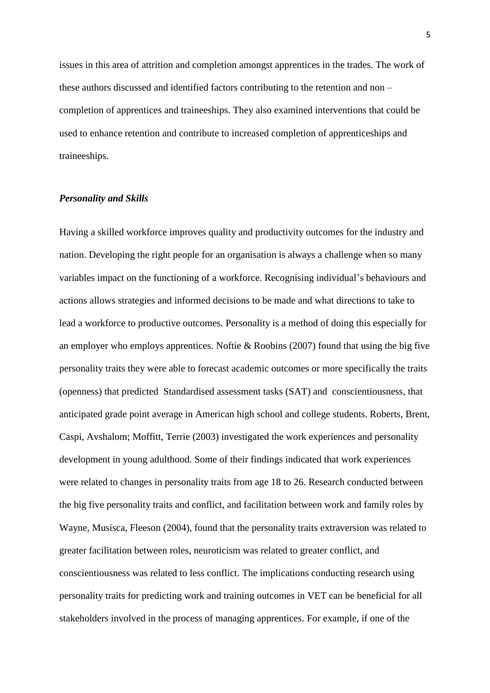issues in this area of attrition and completion amongst apprentices in the trades. The work of these authors discussed and identified factors contributing to the retention and non – completion of apprentices and traineeships. They also examined interventions that could be used to enhance retention and contribute to increased completion of apprenticeships and traineeships.

### *Personality and Skills*

Having a skilled workforce improves quality and productivity outcomes for the industry and nation. Developing the right people for an organisation is always a challenge when so many variables impact on the functioning of a workforce. Recognising individual's behaviours and actions allows strategies and informed decisions to be made and what directions to take to lead a workforce to productive outcomes. Personality is a method of doing this especially for an employer who employs apprentices. Noftie & Roobins (2007) found that using the big five personality traits they were able to forecast academic outcomes or more specifically the traits (openness) that predicted Standardised assessment tasks (SAT) and conscientiousness, that anticipated grade point average in American high school and college students. Roberts, Brent, Caspi, Avshalom; Moffitt, Terrie (2003) investigated the work experiences and personality development in young adulthood. Some of their findings indicated that work experiences were related to changes in personality traits from age 18 to 26. Research conducted between the big five personality traits and conflict, and facilitation between work and family roles by Wayne, Musisca, Fleeson (2004), found that the personality traits extraversion was related to greater facilitation between roles, neuroticism was related to greater conflict, and conscientiousness was related to less conflict. The implications conducting research using personality traits for predicting work and training outcomes in VET can be beneficial for all stakeholders involved in the process of managing apprentices. For example, if one of the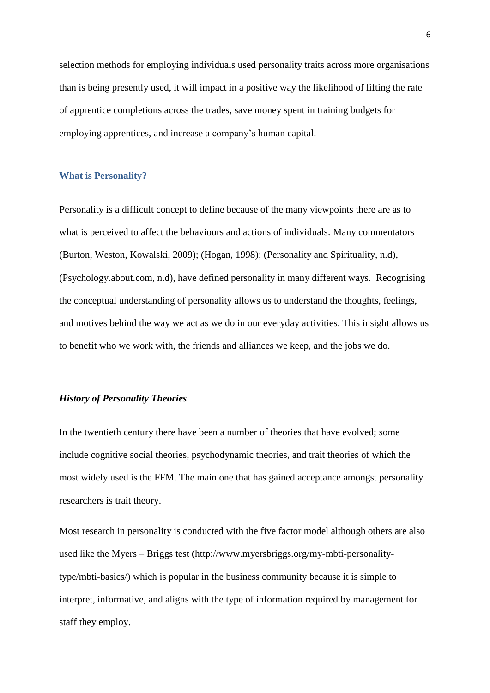selection methods for employing individuals used personality traits across more organisations than is being presently used, it will impact in a positive way the likelihood of lifting the rate of apprentice completions across the trades, save money spent in training budgets for employing apprentices, and increase a company's human capital.

#### **What is Personality?**

Personality is a difficult concept to define because of the many viewpoints there are as to what is perceived to affect the behaviours and actions of individuals. Many commentators (Burton, Weston, Kowalski, 2009); (Hogan, 1998); (Personality and Spirituality, n.d), (Psychology.about.com, n.d), have defined personality in many different ways. Recognising the conceptual understanding of personality allows us to understand the thoughts, feelings, and motives behind the way we act as we do in our everyday activities. This insight allows us to benefit who we work with, the friends and alliances we keep, and the jobs we do.

### *History of Personality Theories*

In the twentieth century there have been a number of theories that have evolved; some include cognitive social theories, psychodynamic theories, and trait theories of which the most widely used is the FFM. The main one that has gained acceptance amongst personality researchers is trait theory.

Most research in personality is conducted with the five factor model although others are also used like the Myers – Briggs test (http://www.myersbriggs.org/my-mbti-personalitytype/mbti-basics/) which is popular in the business community because it is simple to interpret, informative, and aligns with the type of information required by management for staff they employ.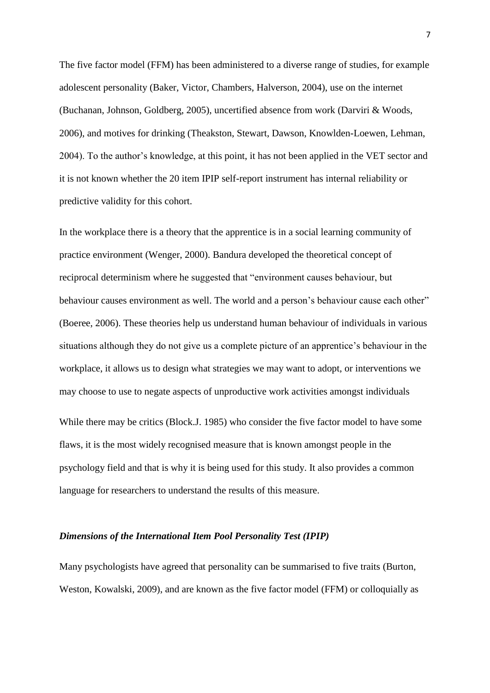The five factor model (FFM) has been administered to a diverse range of studies, for example adolescent personality (Baker, Victor, Chambers, Halverson, 2004), use on the internet (Buchanan, Johnson, Goldberg, 2005), uncertified absence from work (Darviri & Woods, 2006), and motives for drinking (Theakston, Stewart, Dawson, Knowlden-Loewen, Lehman, 2004). To the author's knowledge, at this point, it has not been applied in the VET sector and it is not known whether the 20 item IPIP self-report instrument has internal reliability or predictive validity for this cohort.

In the workplace there is a theory that the apprentice is in a social learning community of practice environment (Wenger, 2000). Bandura developed the theoretical concept of reciprocal determinism where he suggested that "environment causes behaviour, but behaviour causes environment as well. The world and a person's behaviour cause each other" (Boeree, 2006). These theories help us understand human behaviour of individuals in various situations although they do not give us a complete picture of an apprentice's behaviour in the workplace, it allows us to design what strategies we may want to adopt, or interventions we may choose to use to negate aspects of unproductive work activities amongst individuals

While there may be critics (Block.J. 1985) who consider the five factor model to have some flaws, it is the most widely recognised measure that is known amongst people in the psychology field and that is why it is being used for this study. It also provides a common language for researchers to understand the results of this measure.

### *Dimensions of the International Item Pool Personality Test (IPIP)*

Many psychologists have agreed that personality can be summarised to five traits (Burton, Weston, Kowalski, 2009), and are known as the five factor model (FFM) or colloquially as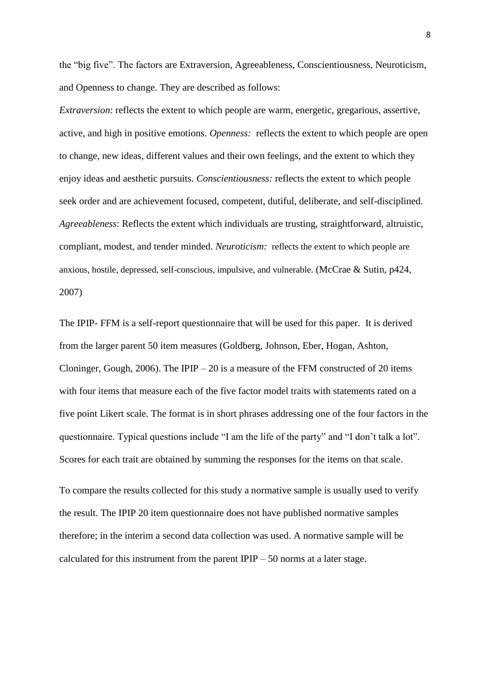the "big five". The factors are Extraversion, Agreeableness, Conscientiousness, Neuroticism, and Openness to change. They are described as follows:

*Extraversion*: reflects the extent to which people are warm, energetic, gregarious, assertive, active, and high in positive emotions. *Openness:* reflects the extent to which people are open to change, new ideas, different values and their own feelings, and the extent to which they enjoy ideas and aesthetic pursuits. *Conscientiousness:* reflects the extent to which people seek order and are achievement focused, competent, dutiful, deliberate, and self-disciplined. *Agreeableness*: Reflects the extent which individuals are trusting, straightforward, altruistic, compliant, modest, and tender minded. *Neuroticism:* reflects the extent to which people are anxious, hostile, depressed, self-conscious, impulsive, and vulnerable. (McCrae & Sutin, p424, 2007)

The IPIP- FFM is a self-report questionnaire that will be used for this paper. It is derived from the larger parent 50 item measures (Goldberg, Johnson, Eber, Hogan, Ashton, Cloninger, Gough, 2006). The IPIP – 20 is a measure of the FFM constructed of 20 items with four items that measure each of the five factor model traits with statements rated on a five point Likert scale. The format is in short phrases addressing one of the four factors in the questionnaire. Typical questions include "I am the life of the party" and "I don't talk a lot". Scores for each trait are obtained by summing the responses for the items on that scale.

To compare the results collected for this study a normative sample is usually used to verify the result. The IPIP 20 item questionnaire does not have published normative samples therefore; in the interim a second data collection was used. A normative sample will be calculated for this instrument from the parent IPIP – 50 norms at a later stage.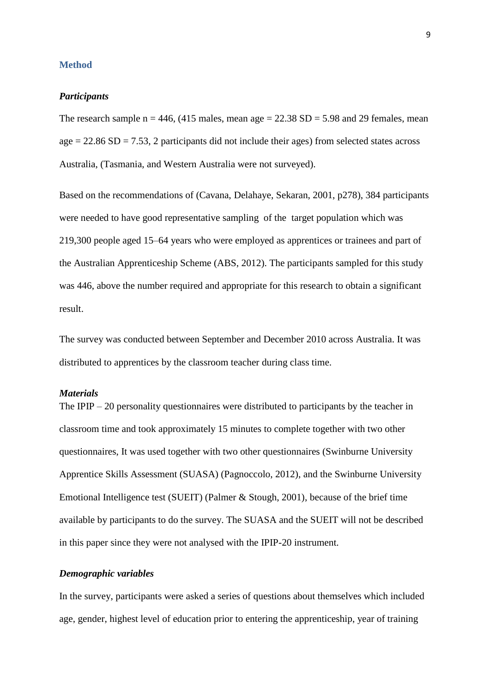#### **Method**

### *Participants*

The research sample  $n = 446$ , (415 males, mean age  $= 22.38$  SD  $= 5.98$  and 29 females, mean  $age = 22.86 SD = 7.53$ , 2 participants did not include their ages) from selected states across Australia, (Tasmania, and Western Australia were not surveyed).

Based on the recommendations of (Cavana, Delahaye, Sekaran, 2001, p278), 384 participants were needed to have good representative sampling of the target population which was 219,300 people aged 15–64 years who were employed as apprentices or trainees and part of the Australian Apprenticeship Scheme (ABS, 2012). The participants sampled for this study was 446, above the number required and appropriate for this research to obtain a significant result.

The survey was conducted between September and December 2010 across Australia. It was distributed to apprentices by the classroom teacher during class time.

# *Materials*

The IPIP – 20 personality questionnaires were distributed to participants by the teacher in classroom time and took approximately 15 minutes to complete together with two other questionnaires, It was used together with two other questionnaires (Swinburne University Apprentice Skills Assessment (SUASA) (Pagnoccolo, 2012), and the Swinburne University Emotional Intelligence test (SUEIT) (Palmer & Stough, 2001), because of the brief time available by participants to do the survey. The SUASA and the SUEIT will not be described in this paper since they were not analysed with the IPIP-20 instrument.

### *Demographic variables*

In the survey, participants were asked a series of questions about themselves which included age, gender, highest level of education prior to entering the apprenticeship, year of training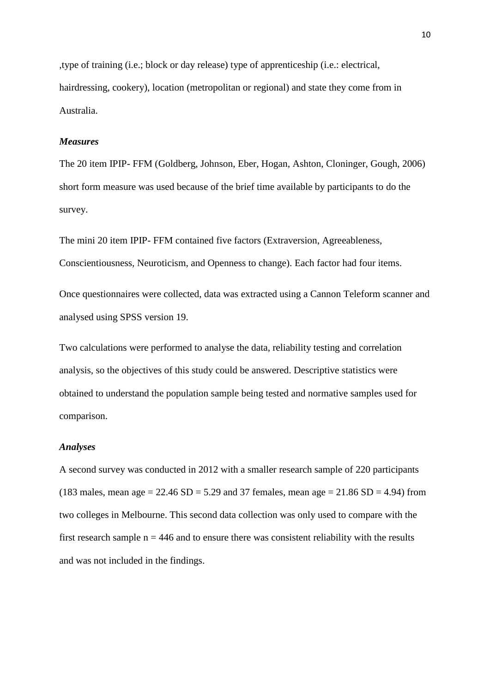,type of training (i.e.; block or day release) type of apprenticeship (i.e.: electrical, hairdressing, cookery), location (metropolitan or regional) and state they come from in Australia.

### *Measures*

The 20 item IPIP- FFM (Goldberg, Johnson, Eber, Hogan, Ashton, Cloninger, Gough, 2006) short form measure was used because of the brief time available by participants to do the survey.

The mini 20 item IPIP- FFM contained five factors (Extraversion, Agreeableness, Conscientiousness, Neuroticism, and Openness to change). Each factor had four items.

Once questionnaires were collected, data was extracted using a Cannon Teleform scanner and analysed using SPSS version 19.

Two calculations were performed to analyse the data, reliability testing and correlation analysis, so the objectives of this study could be answered. Descriptive statistics were obtained to understand the population sample being tested and normative samples used for comparison.

### *Analyses*

A second survey was conducted in 2012 with a smaller research sample of 220 participants (183 males, mean age =  $22.46$  SD =  $5.29$  and 37 females, mean age =  $21.86$  SD = 4.94) from two colleges in Melbourne. This second data collection was only used to compare with the first research sample  $n = 446$  and to ensure there was consistent reliability with the results and was not included in the findings.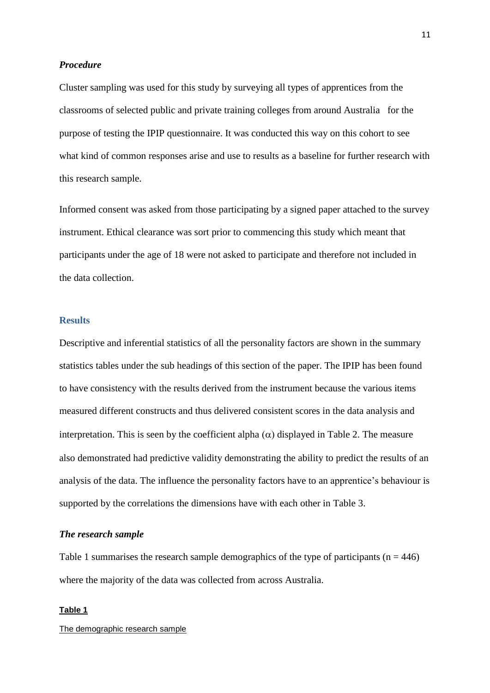#### *Procedure*

Cluster sampling was used for this study by surveying all types of apprentices from the classrooms of selected public and private training colleges from around Australia for the purpose of testing the IPIP questionnaire. It was conducted this way on this cohort to see what kind of common responses arise and use to results as a baseline for further research with this research sample.

Informed consent was asked from those participating by a signed paper attached to the survey instrument. Ethical clearance was sort prior to commencing this study which meant that participants under the age of 18 were not asked to participate and therefore not included in the data collection.

# **Results**

Descriptive and inferential statistics of all the personality factors are shown in the summary statistics tables under the sub headings of this section of the paper. The IPIP has been found to have consistency with the results derived from the instrument because the various items measured different constructs and thus delivered consistent scores in the data analysis and interpretation. This is seen by the coefficient alpha  $(\alpha)$  displayed in Table 2. The measure also demonstrated had predictive validity demonstrating the ability to predict the results of an analysis of the data. The influence the personality factors have to an apprentice's behaviour is supported by the correlations the dimensions have with each other in Table 3.

#### *The research sample*

Table 1 summarises the research sample demographics of the type of participants ( $n = 446$ ) where the majority of the data was collected from across Australia.

#### **Table 1**

The demographic research sample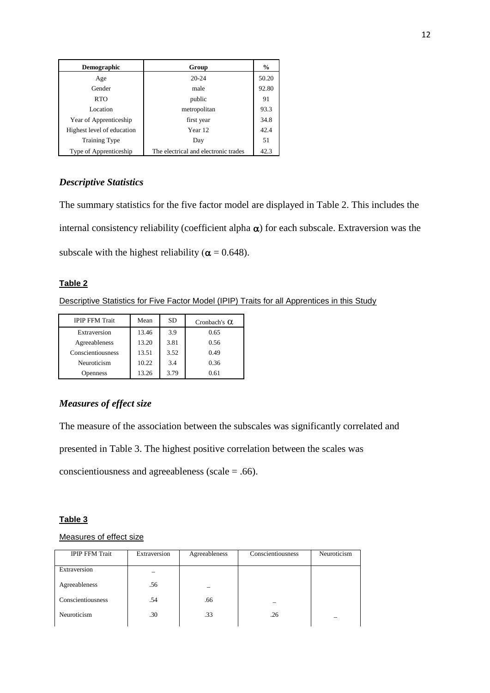| <b>Demographic</b>         | Group                                | $\frac{0}{0}$ |
|----------------------------|--------------------------------------|---------------|
| Age                        | $20 - 24$                            | 50.20         |
| Gender                     | male                                 | 92.80         |
| <b>RTO</b>                 | public                               | 91            |
| Location                   | metropolitan                         | 93.3          |
| Year of Apprenticeship     | first year                           | 34.8          |
| Highest level of education | Year 12                              | 42.4          |
| <b>Training Type</b>       | Day                                  | 51            |
| Type of Apprenticeship     | The electrical and electronic trades | 42.3          |

# *Descriptive Statistics*

The summary statistics for the five factor model are displayed in Table 2. This includes the internal consistency reliability (coefficient alpha  $\alpha$ ) for each subscale. Extraversion was the subscale with the highest reliability ( $\alpha$  = 0.648).

### **Table 2**

Descriptive Statistics for Five Factor Model (IPIP) Traits for all Apprentices in this Study

| <b>IPIP FFM Trait</b> | Mean  | <b>SD</b> | Cronbach's $\alpha$ |
|-----------------------|-------|-----------|---------------------|
| Extraversion          | 13.46 | 3.9       | 0.65                |
| Agreeableness         | 13.20 | 3.81      | 0.56                |
| Conscientiousness     | 13.51 | 3.52      | 0.49                |
| Neuroticism           | 10.22 | 3.4       | 0.36                |
| <b>Openness</b>       | 13.26 | 3.79      | 0.61                |

# *Measures of effect size*

The measure of the association between the subscales was significantly correlated and

presented in Table 3. The highest positive correlation between the scales was

conscientiousness and agreeableness (scale = .66).

# **Table 3**

# Measures of effect size

| <b>IPIP FFM Trait</b> | Extraversion | Agreeableness | Conscientiousness | Neuroticism |
|-----------------------|--------------|---------------|-------------------|-------------|
| Extraversion          |              |               |                   |             |
| Agreeableness         | .56          |               |                   |             |
| Conscientiousness     | .54          | .66           |                   |             |
| Neuroticism           | .30          | .33           | .26               |             |
|                       |              |               |                   |             |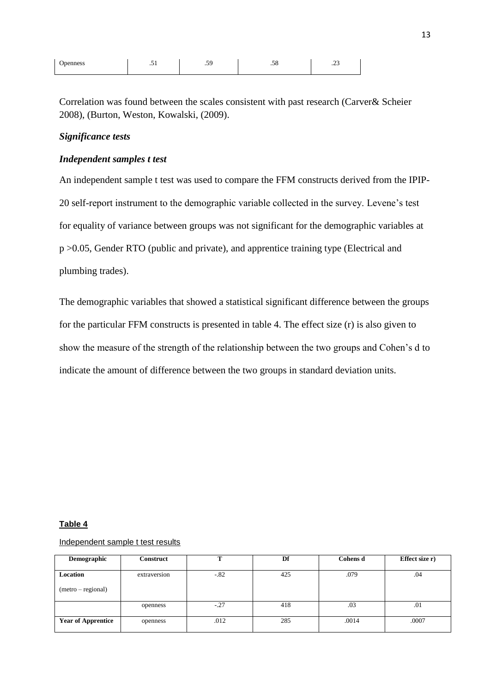| <b>J</b> penness<br>------ | $\sim$ | - -<br>$\cdot$ . | $\overline{\phantom{0}}$<br>∼ | -<br>$-$ |
|----------------------------|--------|------------------|-------------------------------|----------|
|                            |        |                  |                               |          |

Correlation was found between the scales consistent with past research (Carver& Scheier 2008), (Burton, Weston, Kowalski, (2009).

# *Significance tests*

# *Independent samples t test*

An independent sample t test was used to compare the FFM constructs derived from the IPIP-20 self-report instrument to the demographic variable collected in the survey. Levene's test for equality of variance between groups was not significant for the demographic variables at p >0.05, Gender RTO (public and private), and apprentice training type (Electrical and plumbing trades).

The demographic variables that showed a statistical significant difference between the groups for the particular FFM constructs is presented in table 4. The effect size (r) is also given to show the measure of the strength of the relationship between the two groups and Cohen's d to indicate the amount of difference between the two groups in standard deviation units.

#### **Table 4**

### Independent sample t test results

| Demographic               | <b>Construct</b> | m      | Df  | <b>Cohens d</b> | Effect size r) |
|---------------------------|------------------|--------|-----|-----------------|----------------|
|                           |                  |        |     |                 |                |
| Location                  | extraversion     | $-82$  | 425 | .079            | .04            |
| (metro – regional)        |                  |        |     |                 |                |
|                           | openness         | $-.27$ | 418 | .03             | .01            |
| <b>Year of Apprentice</b> | openness         | .012   | 285 | .0014           | .0007          |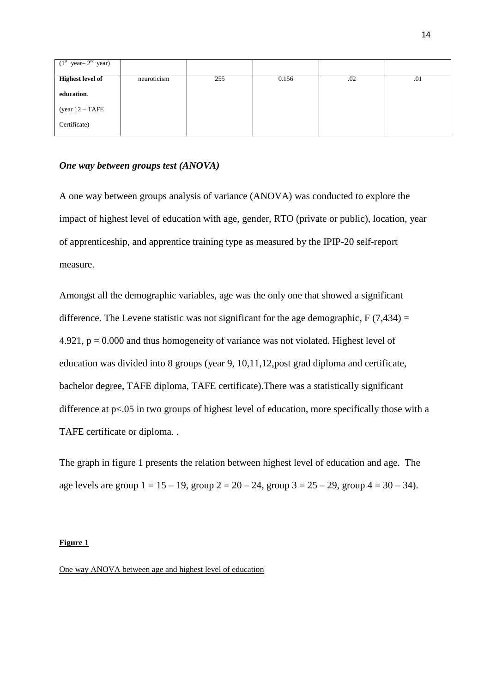| $(1st year - 2nd year)$ |             |     |       |     |     |
|-------------------------|-------------|-----|-------|-----|-----|
| <b>Highest level of</b> | neuroticism | 255 | 0.156 | .02 | .01 |
| education.              |             |     |       |     |     |
| (year $12 - TAFE$       |             |     |       |     |     |
| Certificate)            |             |     |       |     |     |

#### *One way between groups test (ANOVA)*

A one way between groups analysis of variance (ANOVA) was conducted to explore the impact of highest level of education with age, gender, RTO (private or public), location, year of apprenticeship, and apprentice training type as measured by the IPIP-20 self-report measure.

Amongst all the demographic variables, age was the only one that showed a significant difference. The Levene statistic was not significant for the age demographic,  $F(7,434) =$ 4.921,  $p = 0.000$  and thus homogeneity of variance was not violated. Highest level of education was divided into 8 groups (year 9, 10,11,12,post grad diploma and certificate, bachelor degree, TAFE diploma, TAFE certificate).There was a statistically significant difference at p<.05 in two groups of highest level of education, more specifically those with a TAFE certificate or diploma. .

The graph in figure 1 presents the relation between highest level of education and age. The age levels are group  $1 = 15 - 19$ , group  $2 = 20 - 24$ , group  $3 = 25 - 29$ , group  $4 = 30 - 34$ ).

#### **Figure 1**

One way ANOVA between age and highest level of education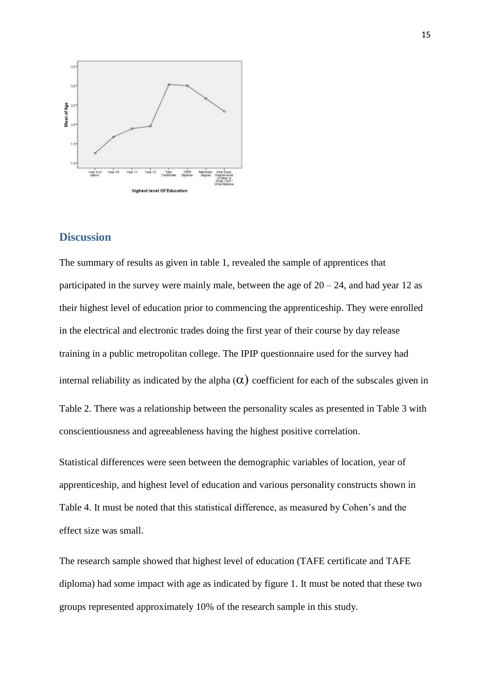

# **Discussion**

The summary of results as given in table 1, revealed the sample of apprentices that participated in the survey were mainly male, between the age of  $20 - 24$ , and had year 12 as their highest level of education prior to commencing the apprenticeship. They were enrolled in the electrical and electronic trades doing the first year of their course by day release training in a public metropolitan college. The IPIP questionnaire used for the survey had internal reliability as indicated by the alpha  $(\alpha)$  coefficient for each of the subscales given in Table 2. There was a relationship between the personality scales as presented in Table 3 with conscientiousness and agreeableness having the highest positive correlation.

Statistical differences were seen between the demographic variables of location, year of apprenticeship, and highest level of education and various personality constructs shown in Table 4. It must be noted that this statistical difference, as measured by Cohen's and the effect size was small.

The research sample showed that highest level of education (TAFE certificate and TAFE diploma) had some impact with age as indicated by figure 1. It must be noted that these two groups represented approximately 10% of the research sample in this study.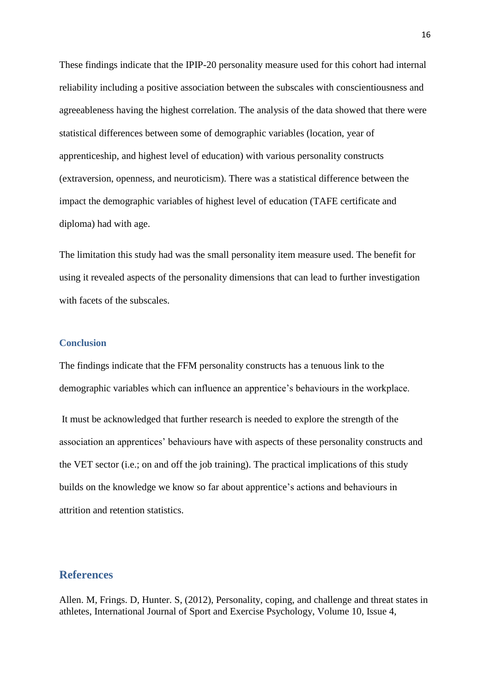These findings indicate that the IPIP-20 personality measure used for this cohort had internal reliability including a positive association between the subscales with conscientiousness and agreeableness having the highest correlation. The analysis of the data showed that there were statistical differences between some of demographic variables (location, year of apprenticeship, and highest level of education) with various personality constructs (extraversion, openness, and neuroticism). There was a statistical difference between the impact the demographic variables of highest level of education (TAFE certificate and diploma) had with age.

The limitation this study had was the small personality item measure used. The benefit for using it revealed aspects of the personality dimensions that can lead to further investigation with facets of the subscales.

### **Conclusion**

The findings indicate that the FFM personality constructs has a tenuous link to the demographic variables which can influence an apprentice's behaviours in the workplace.

It must be acknowledged that further research is needed to explore the strength of the association an apprentices' behaviours have with aspects of these personality constructs and the VET sector (i.e.; on and off the job training). The practical implications of this study builds on the knowledge we know so far about apprentice's actions and behaviours in attrition and retention statistics.

# **References**

Allen. M, Frings. D, Hunter. S, (2012), Personality, coping, and challenge and threat states in athletes, International Journal of Sport and Exercise Psychology, Volume 10, Issue 4,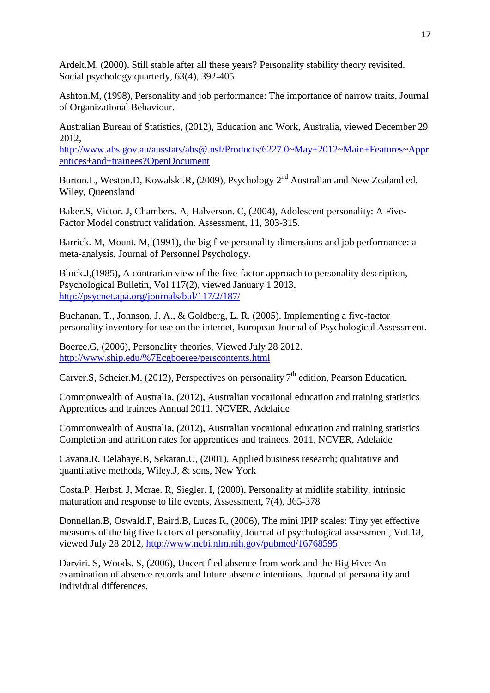Ardelt.M, (2000), Still stable after all these years? Personality stability theory revisited. Social psychology quarterly, 63(4), 392-405

Ashton.M, (1998), Personality and job performance: The importance of narrow traits, Journal of Organizational Behaviour.

Australian Bureau of Statistics, (2012), Education and Work, Australia, viewed December 29 2012,

[http://www.abs.gov.au/ausstats/abs@.nsf/Products/6227.0~May+2012~Main+Features~Appr](http://www.abs.gov.au/ausstats/abs@.nsf/Products/6227.0~May+2012~Main+Features~Apprentices+and+trainees?OpenDocument) [entices+and+trainees?OpenDocument](http://www.abs.gov.au/ausstats/abs@.nsf/Products/6227.0~May+2012~Main+Features~Apprentices+and+trainees?OpenDocument)

Burton.L, Weston.D, Kowalski.R, (2009), Psychology 2<sup>nd</sup> Australian and New Zealand ed. Wiley, Queensland

Baker.S, Victor. J, Chambers. A, Halverson. C, (2004), Adolescent personality: A Five-Factor Model construct validation. Assessment, 11, 303-315.

Barrick. M, Mount. M, (1991), the big five personality dimensions and job performance: a meta-analysis, Journal of Personnel Psychology.

Block.J,(1985), A contrarian view of the five-factor approach to personality description, Psychological Bulletin, Vol 117(2), viewed January 1 2013, <http://psycnet.apa.org/journals/bul/117/2/187/>

Buchanan, T., Johnson, J. A., & Goldberg, L. R. (2005). Implementing a five-factor personality inventory for use on the internet, European Journal of Psychological Assessment.

Boeree.G, (2006), Personality theories, Viewed July 28 2012. [http://www.ship.edu/%7Ecgboeree/perscontents.html](http://www.ship.edu/~cgboeree/perscontents.html)

Carver.S, Scheier.M, (2012), Perspectives on personality  $7<sup>th</sup>$  edition, Pearson Education.

Commonwealth of Australia, (2012), Australian vocational education and training statistics Apprentices and trainees Annual 2011, NCVER, Adelaide

Commonwealth of Australia, (2012), Australian vocational education and training statistics Completion and attrition rates for apprentices and trainees, 2011, NCVER, Adelaide

Cavana.R, Delahaye.B, Sekaran.U, (2001), Applied business research; qualitative and quantitative methods, Wiley.J, & sons, New York

Costa.P, Herbst. J, Mcrae. R, Siegler. I, (2000), Personality at midlife stability, intrinsic maturation and response to life events, Assessment, 7(4), 365-378

Donnellan.B, Oswald.F, Baird.B, Lucas.R, (2006), The mini IPIP scales: Tiny yet effective measures of the big five factors of personality, Journal of psychological assessment, Vol.18, viewed July 28 2012,<http://www.ncbi.nlm.nih.gov/pubmed/16768595>

Darviri. S, Woods. S, (2006), Uncertified absence from work and the Big Five: An examination of absence records and future absence intentions. Journal of personality and individual differences.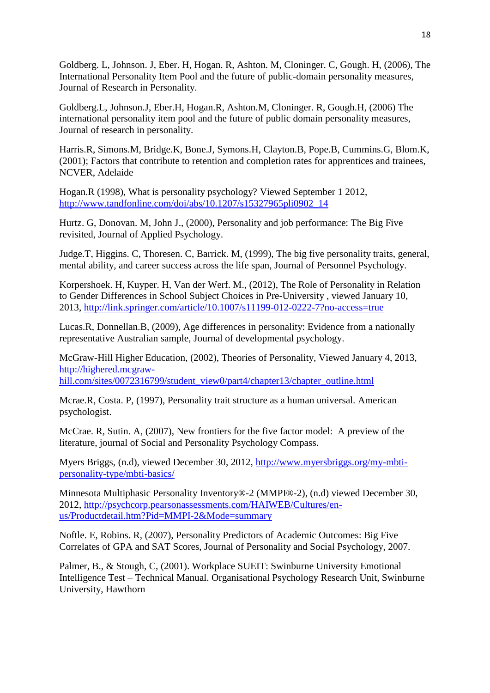Goldberg. L, Johnson. J, Eber. H, Hogan. R, Ashton. M, Cloninger. C, Gough. H, (2006), The International Personality Item Pool and the future of public-domain personality measures, Journal of Research in Personality.

Goldberg.L, Johnson.J, Eber.H, Hogan.R, Ashton.M, Cloninger. R, Gough.H, (2006) The international personality item pool and the future of public domain personality measures, Journal of research in personality.

Harris.R, Simons.M, Bridge.K, Bone.J, Symons.H, Clayton.B, Pope.B, Cummins.G, Blom.K, (2001); Factors that contribute to retention and completion rates for apprentices and trainees, NCVER, Adelaide

Hogan.R (1998), What is personality psychology? Viewed September 1 2012, [http://www.tandfonline.com/doi/abs/10.1207/s15327965pli0902\\_14](http://www.tandfonline.com/doi/abs/10.1207/s15327965pli0902_14)

Hurtz. G, Donovan. M, John J., (2000), Personality and job performance: The Big Five revisited, Journal of Applied Psychology.

Judge.T, Higgins. C, Thoresen. C, Barrick. M, (1999), The big five personality traits, general, mental ability, and career success across the life span, Journal of Personnel Psychology.

Korpershoek. H, Kuyper. H, Van der Werf. M., (2012), The Role of Personality in Relation to Gender Differences in School Subject Choices in Pre-University , viewed January 10, 2013,<http://link.springer.com/article/10.1007/s11199-012-0222-7?no-access=true>

Lucas.R, Donnellan.B, (2009), Age differences in personality: Evidence from a nationally representative Australian sample, Journal of developmental psychology.

McGraw-Hill Higher Education, (2002), Theories of Personality, Viewed January 4, 2013, [http://highered.mcgraw](http://highered.mcgraw-hill.com/sites/0072316799/student_view0/part4/chapter13/chapter_outline.html)[hill.com/sites/0072316799/student\\_view0/part4/chapter13/chapter\\_outline.html](http://highered.mcgraw-hill.com/sites/0072316799/student_view0/part4/chapter13/chapter_outline.html)

Mcrae.R, Costa. P, (1997), Personality trait structure as a human universal. American psychologist.

McCrae. R, Sutin. A, (2007), New frontiers for the five factor model: A preview of the literature, journal of Social and Personality Psychology Compass.

Myers Briggs, (n.d), viewed December 30, 2012, [http://www.myersbriggs.org/my-mbti](http://www.myersbriggs.org/my-mbti-personality-type/mbti-basics/)[personality-type/mbti-basics/](http://www.myersbriggs.org/my-mbti-personality-type/mbti-basics/)

Minnesota Multiphasic Personality Inventory®-2 (MMPI®-2), (n.d) viewed December 30, 2012, [http://psychcorp.pearsonassessments.com/HAIWEB/Cultures/en](http://psychcorp.pearsonassessments.com/HAIWEB/Cultures/en-us/Productdetail.htm?Pid=MMPI-2&Mode=summary)[us/Productdetail.htm?Pid=MMPI-2&Mode=summary](http://psychcorp.pearsonassessments.com/HAIWEB/Cultures/en-us/Productdetail.htm?Pid=MMPI-2&Mode=summary)

Noftle. E, Robins. R, (2007), Personality Predictors of Academic Outcomes: Big Five Correlates of GPA and SAT Scores, Journal of Personality and Social Psychology, 2007.

Palmer, B., & Stough, C, (2001). Workplace SUEIT: Swinburne University Emotional Intelligence Test – Technical Manual. Organisational Psychology Research Unit, Swinburne University, Hawthorn